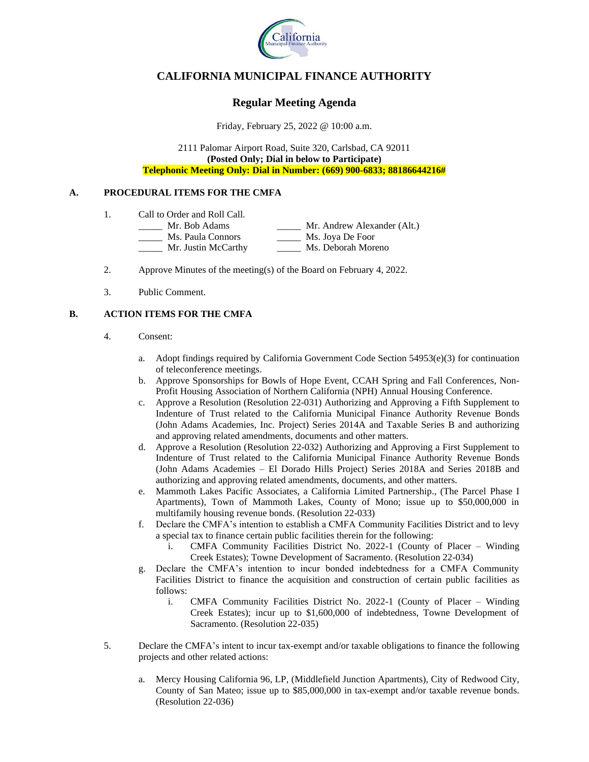

# **CALIFORNIA MUNICIPAL FINANCE AUTHORITY**

# **Regular Meeting Agenda**

Friday, February 25, 2022 @ 10:00 a.m.

2111 Palomar Airport Road, Suite 320, Carlsbad, CA 92011 **(Posted Only; Dial in below to Participate) Telephonic Meeting Only: Dial in Number: (669) 900-6833; 88186644216#**

#### **A. PROCEDURAL ITEMS FOR THE CMFA**

- 1. Call to Order and Roll Call.
	- \_\_\_\_\_ Mr. Bob Adams \_\_\_\_\_ Mr. Andrew Alexander (Alt.) \_\_\_\_\_ Ms. Paula Connors \_\_\_\_\_ Ms. Joya De Foor \_\_\_\_\_ Mr. Justin McCarthy \_\_\_\_\_ Ms. Deborah Moreno
- 2. Approve Minutes of the meeting(s) of the Board on February 4, 2022.
- 3. Public Comment.

#### **B. ACTION ITEMS FOR THE CMFA**

- 4. Consent:
	- a. Adopt findings required by California Government Code Section  $54953(e)(3)$  for continuation of teleconference meetings.
	- b. Approve Sponsorships for Bowls of Hope Event, CCAH Spring and Fall Conferences, Non-Profit Housing Association of Northern California (NPH) Annual Housing Conference.
	- c. Approve a Resolution (Resolution 22-031) Authorizing and Approving a Fifth Supplement to Indenture of Trust related to the California Municipal Finance Authority Revenue Bonds (John Adams Academies, Inc. Project) Series 2014A and Taxable Series B and authorizing and approving related amendments, documents and other matters.
	- d. Approve a Resolution (Resolution 22-032) Authorizing and Approving a First Supplement to Indenture of Trust related to the California Municipal Finance Authority Revenue Bonds (John Adams Academies – El Dorado Hills Project) Series 2018A and Series 2018B and authorizing and approving related amendments, documents, and other matters.
	- e. Mammoth Lakes Pacific Associates, a California Limited Partnership., (The Parcel Phase I Apartments), Town of Mammoth Lakes, County of Mono; issue up to \$50,000,000 in multifamily housing revenue bonds. (Resolution 22-033)
	- f. Declare the CMFA's intention to establish a CMFA Community Facilities District and to levy a special tax to finance certain public facilities therein for the following:
		- i. CMFA Community Facilities District No. 2022-1 (County of Placer Winding Creek Estates); Towne Development of Sacramento. (Resolution 22-034)
	- g. Declare the CMFA's intention to incur bonded indebtedness for a CMFA Community Facilities District to finance the acquisition and construction of certain public facilities as follows:
		- i. CMFA Community Facilities District No. 2022-1 (County of Placer Winding Creek Estates); incur up to \$1,600,000 of indebtedness, Towne Development of Sacramento. (Resolution 22-035)
- 5. Declare the CMFA's intent to incur tax-exempt and/or taxable obligations to finance the following projects and other related actions:
	- a. Mercy Housing California 96, LP, (Middlefield Junction Apartments), City of Redwood City, County of San Mateo; issue up to \$85,000,000 in tax-exempt and/or taxable revenue bonds. (Resolution 22-036)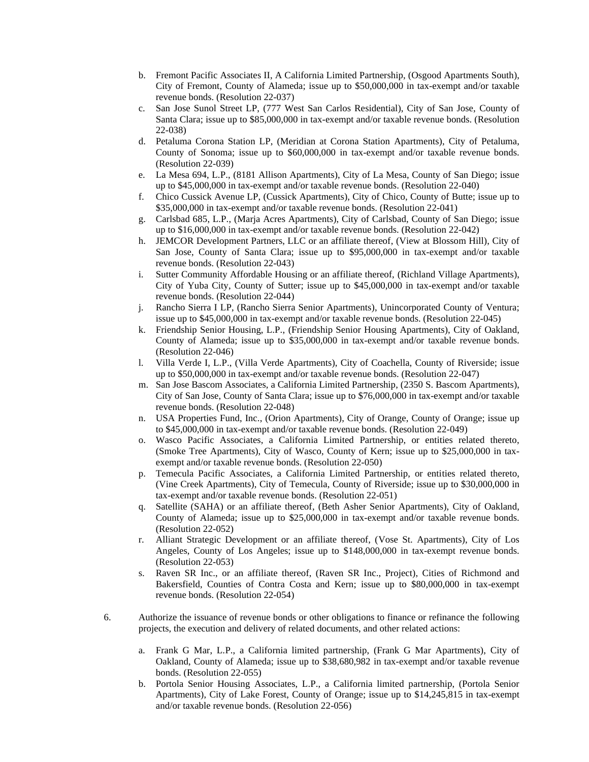- b. Fremont Pacific Associates II, A California Limited Partnership, (Osgood Apartments South), City of Fremont, County of Alameda; issue up to \$50,000,000 in tax-exempt and/or taxable revenue bonds. (Resolution 22-037)
- c. San Jose Sunol Street LP, (777 West San Carlos Residential), City of San Jose, County of Santa Clara; issue up to \$85,000,000 in tax-exempt and/or taxable revenue bonds. (Resolution 22-038)
- d. Petaluma Corona Station LP, (Meridian at Corona Station Apartments), City of Petaluma, County of Sonoma; issue up to \$60,000,000 in tax-exempt and/or taxable revenue bonds. (Resolution 22-039)
- e. La Mesa 694, L.P., (8181 Allison Apartments), City of La Mesa, County of San Diego; issue up to \$45,000,000 in tax-exempt and/or taxable revenue bonds. (Resolution 22-040)
- f. Chico Cussick Avenue LP, (Cussick Apartments), City of Chico, County of Butte; issue up to \$35,000,000 in tax-exempt and/or taxable revenue bonds. (Resolution 22-041)
- g. Carlsbad 685, L.P., (Marja Acres Apartments), City of Carlsbad, County of San Diego; issue up to \$16,000,000 in tax-exempt and/or taxable revenue bonds. (Resolution 22-042)
- h. JEMCOR Development Partners, LLC or an affiliate thereof, (View at Blossom Hill), City of San Jose, County of Santa Clara; issue up to \$95,000,000 in tax-exempt and/or taxable revenue bonds. (Resolution 22-043)
- i. Sutter Community Affordable Housing or an affiliate thereof, (Richland Village Apartments), City of Yuba City, County of Sutter; issue up to \$45,000,000 in tax-exempt and/or taxable revenue bonds. (Resolution 22-044)
- j. Rancho Sierra I LP, (Rancho Sierra Senior Apartments), Unincorporated County of Ventura; issue up to \$45,000,000 in tax-exempt and/or taxable revenue bonds. (Resolution 22-045)
- k. Friendship Senior Housing, L.P., (Friendship Senior Housing Apartments), City of Oakland, County of Alameda; issue up to \$35,000,000 in tax-exempt and/or taxable revenue bonds. (Resolution 22-046)
- l. Villa Verde I, L.P., (Villa Verde Apartments), City of Coachella, County of Riverside; issue up to \$50,000,000 in tax-exempt and/or taxable revenue bonds. (Resolution 22-047)
- m. San Jose Bascom Associates, a California Limited Partnership, (2350 S. Bascom Apartments), City of San Jose, County of Santa Clara; issue up to \$76,000,000 in tax-exempt and/or taxable revenue bonds. (Resolution 22-048)
- n. USA Properties Fund, Inc., (Orion Apartments), City of Orange, County of Orange; issue up to \$45,000,000 in tax-exempt and/or taxable revenue bonds. (Resolution 22-049)
- o. Wasco Pacific Associates, a California Limited Partnership, or entities related thereto, (Smoke Tree Apartments), City of Wasco, County of Kern; issue up to \$25,000,000 in taxexempt and/or taxable revenue bonds. (Resolution 22-050)
- p. Temecula Pacific Associates, a California Limited Partnership, or entities related thereto, (Vine Creek Apartments), City of Temecula, County of Riverside; issue up to \$30,000,000 in tax-exempt and/or taxable revenue bonds. (Resolution 22-051)
- q. Satellite (SAHA) or an affiliate thereof, (Beth Asher Senior Apartments), City of Oakland, County of Alameda; issue up to \$25,000,000 in tax-exempt and/or taxable revenue bonds. (Resolution 22-052)
- r. Alliant Strategic Development or an affiliate thereof, (Vose St. Apartments), City of Los Angeles, County of Los Angeles; issue up to \$148,000,000 in tax-exempt revenue bonds. (Resolution 22-053)
- s. Raven SR Inc., or an affiliate thereof, (Raven SR Inc., Project), Cities of Richmond and Bakersfield, Counties of Contra Costa and Kern; issue up to \$80,000,000 in tax-exempt revenue bonds. (Resolution 22-054)
- 6. Authorize the issuance of revenue bonds or other obligations to finance or refinance the following projects, the execution and delivery of related documents, and other related actions:
	- a. Frank G Mar, L.P., a California limited partnership, (Frank G Mar Apartments), City of Oakland, County of Alameda; issue up to \$38,680,982 in tax-exempt and/or taxable revenue bonds. (Resolution 22-055)
	- b. Portola Senior Housing Associates, L.P., a California limited partnership, (Portola Senior Apartments), City of Lake Forest, County of Orange; issue up to \$14,245,815 in tax-exempt and/or taxable revenue bonds. (Resolution 22-056)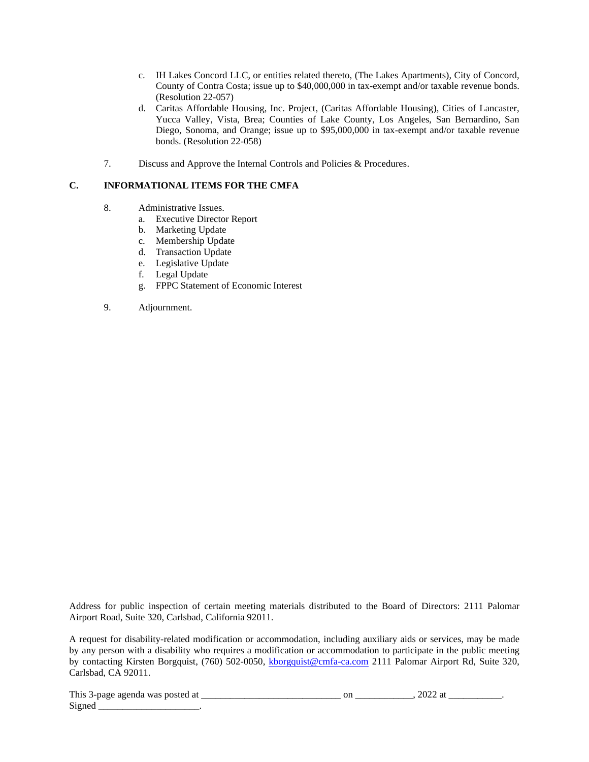- c. IH Lakes Concord LLC, or entities related thereto, (The Lakes Apartments), City of Concord, County of Contra Costa; issue up to \$40,000,000 in tax-exempt and/or taxable revenue bonds. (Resolution 22-057)
- d. Caritas Affordable Housing, Inc. Project, (Caritas Affordable Housing), Cities of Lancaster, Yucca Valley, Vista, Brea; Counties of Lake County, Los Angeles, San Bernardino, San Diego, Sonoma, and Orange; issue up to \$95,000,000 in tax-exempt and/or taxable revenue bonds. (Resolution 22-058)
- 7. Discuss and Approve the Internal Controls and Policies & Procedures.

### **C. INFORMATIONAL ITEMS FOR THE CMFA**

- 8. Administrative Issues.
	- a. Executive Director Report
	- b. Marketing Update
	- c. Membership Update
	- d. Transaction Update
	- e. Legislative Update
	- f. Legal Update
	- g. FPPC Statement of Economic Interest
- 9. Adjournment.

Address for public inspection of certain meeting materials distributed to the Board of Directors: 2111 Palomar Airport Road, Suite 320, Carlsbad, California 92011.

A request for disability-related modification or accommodation, including auxiliary aids or services, may be made by any person with a disability who requires a modification or accommodation to participate in the public meeting by contacting Kirsten Borgquist, (760) 502-0050, kborgquist@cmfa-ca.com 2111 Palomar Airport Rd, Suite 320, Carlsbad, CA 92011.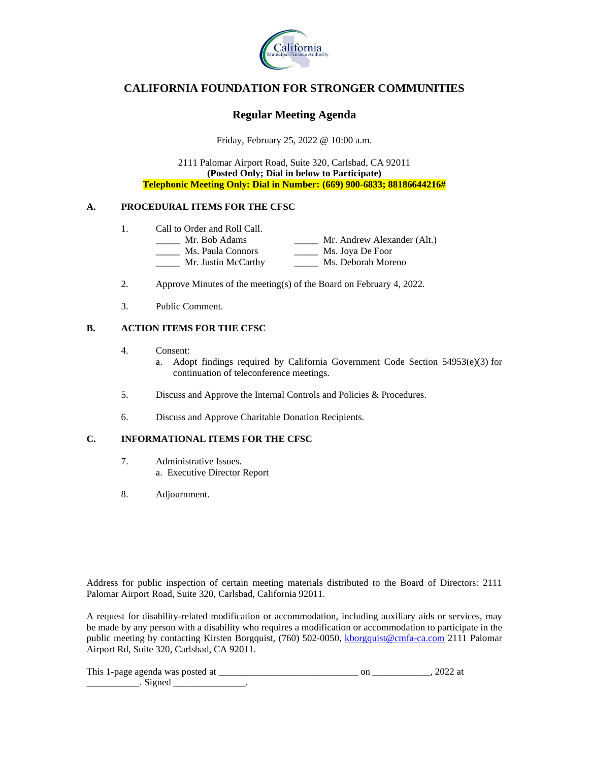

# **CALIFORNIA FOUNDATION FOR STRONGER COMMUNITIES**

### **Regular Meeting Agenda**

Friday, February 25, 2022 @ 10:00 a.m.

2111 Palomar Airport Road, Suite 320, Carlsbad, CA 92011 **(Posted Only; Dial in below to Participate) Telephonic Meeting Only: Dial in Number: (669) 900-6833; 88186644216#**

### **A. PROCEDURAL ITEMS FOR THE CFSC**

- 1. Call to Order and Roll Call.<br>
<u>\_\_\_\_\_\_</u> Mr. Bob Adams
	- \_\_\_\_\_ Mr. Bob Adams \_\_\_\_\_ Mr. Andrew Alexander (Alt.) \_\_\_\_\_ Ms. Paula Connors \_\_\_\_\_ Ms. Joya De Foor \_\_\_\_\_ Mr. Justin McCarthy \_\_\_\_\_ Ms. Deborah Moreno
- 2. Approve Minutes of the meeting(s) of the Board on February 4, 2022.
- 3. Public Comment.

### **B. ACTION ITEMS FOR THE CFSC**

- 4. Consent:
	- a. Adopt findings required by California Government Code Section  $54953(e)(3)$  for continuation of teleconference meetings.
- 5. Discuss and Approve the Internal Controls and Policies & Procedures.
- 6. Discuss and Approve Charitable Donation Recipients.

#### **C. INFORMATIONAL ITEMS FOR THE CFSC**

- 7. Administrative Issues. a. Executive Director Report
- 8. Adjournment.

Address for public inspection of certain meeting materials distributed to the Board of Directors: 2111 Palomar Airport Road, Suite 320, Carlsbad, California 92011.

A request for disability-related modification or accommodation, including auxiliary aids or services, may be made by any person with a disability who requires a modification or accommodation to participate in the public meeting by contacting Kirsten Borgquist, (760) 502-0050, kborgquist@cmfa-ca.com 2111 Palomar Airport Rd, Suite 320, Carlsbad, CA 92011.

| This 1-page agenda was posted at |  |  |
|----------------------------------|--|--|
|                                  |  |  |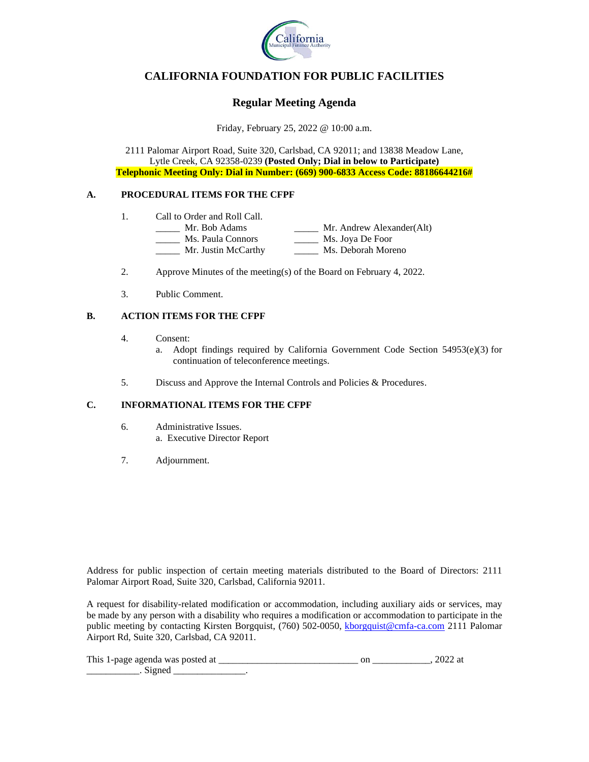

# **CALIFORNIA FOUNDATION FOR PUBLIC FACILITIES**

# **Regular Meeting Agenda**

Friday, February 25, 2022 @ 10:00 a.m.

2111 Palomar Airport Road, Suite 320, Carlsbad, CA 92011; and 13838 Meadow Lane, Lytle Creek, CA 92358-0239 **(Posted Only; Dial in below to Participate) Telephonic Meeting Only: Dial in Number: (669) 900-6833 Access Code: 88186644216#**

### **A. PROCEDURAL ITEMS FOR THE CFPF**

- 1. Call to Order and Roll Call.
	- \_\_\_\_\_ Mr. Bob Adams \_\_\_\_\_ Mr. Andrew Alexander(Alt) \_\_\_\_\_ Ms. Paula Connors \_\_\_\_\_ Ms. Joya De Foor Mr. Justin McCarthy Ms. Deborah Moreno
- 2. Approve Minutes of the meeting(s) of the Board on February 4, 2022.
- 3. Public Comment.

### **B. ACTION ITEMS FOR THE CFPF**

- 4. Consent:
	- a. Adopt findings required by California Government Code Section 54953(e)(3) for continuation of teleconference meetings.
- 5. Discuss and Approve the Internal Controls and Policies & Procedures.

### **C. INFORMATIONAL ITEMS FOR THE CFPF**

- 6. Administrative Issues. a. Executive Director Report
- 7. Adjournment.

Address for public inspection of certain meeting materials distributed to the Board of Directors: 2111 Palomar Airport Road, Suite 320, Carlsbad, California 92011.

A request for disability-related modification or accommodation, including auxiliary aids or services, may be made by any person with a disability who requires a modification or accommodation to participate in the public meeting by contacting Kirsten Borgquist, (760) 502-0050, kborgquist@cmfa-ca.com 2111 Palomar Airport Rd, Suite 320, Carlsbad, CA 92011.

| This<br>agenda was posted<br><sup>a</sup><br>L-nage | UI. |  |
|-----------------------------------------------------|-----|--|
|                                                     |     |  |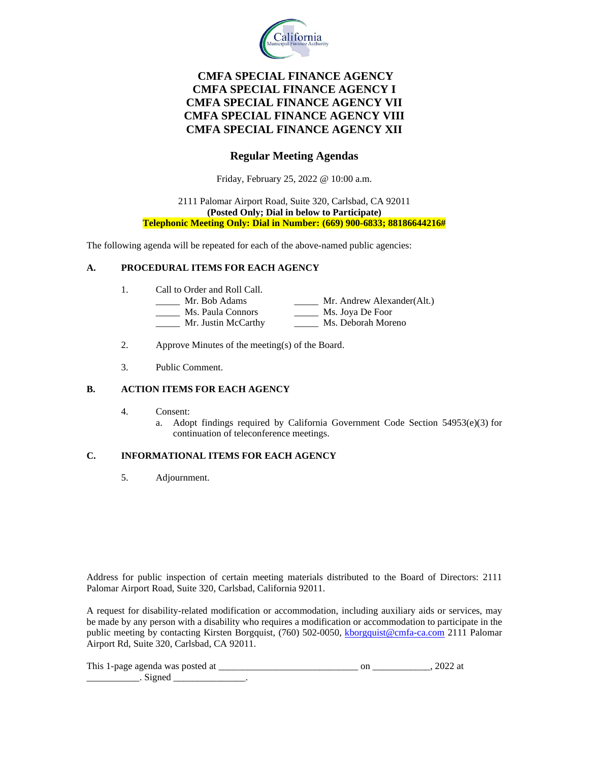

# **CMFA SPECIAL FINANCE AGENCY CMFA SPECIAL FINANCE AGENCY I CMFA SPECIAL FINANCE AGENCY VII CMFA SPECIAL FINANCE AGENCY VIII CMFA SPECIAL FINANCE AGENCY XII**

## **Regular Meeting Agendas**

Friday, February 25, 2022 @ 10:00 a.m.

#### 2111 Palomar Airport Road, Suite 320, Carlsbad, CA 92011 **(Posted Only; Dial in below to Participate) Telephonic Meeting Only: Dial in Number: (669) 900-6833; 88186644216#**

The following agenda will be repeated for each of the above-named public agencies:

### **A. PROCEDURAL ITEMS FOR EACH AGENCY**

- 1. Call to Order and Roll Call.
	- \_\_\_\_\_ Mr. Bob Adams \_\_\_\_\_ Mr. Andrew Alexander(Alt.) \_\_\_\_\_ Ms. Paula Connors \_\_\_\_\_ Ms. Joya De Foor
	- \_\_\_\_\_ Mr. Justin McCarthy \_\_\_\_\_ Ms. Deborah Moreno
- 2. Approve Minutes of the meeting(s) of the Board.
- 3. Public Comment.

#### **B. ACTION ITEMS FOR EACH AGENCY**

- 4. Consent:
	- a. Adopt findings required by California Government Code Section 54953(e)(3) for continuation of teleconference meetings.

### **C. INFORMATIONAL ITEMS FOR EACH AGENCY**

5. Adjournment.

Address for public inspection of certain meeting materials distributed to the Board of Directors: 2111 Palomar Airport Road, Suite 320, Carlsbad, California 92011.

A request for disability-related modification or accommodation, including auxiliary aids or services, may be made by any person with a disability who requires a modification or accommodation to participate in the public meeting by contacting Kirsten Borgquist, (760) 502-0050, kborgquist@cmfa-ca.com 2111 Palomar Airport Rd, Suite 320, Carlsbad, CA 92011.

| This<br>1-page agenda was posted at |  |  |
|-------------------------------------|--|--|
|                                     |  |  |